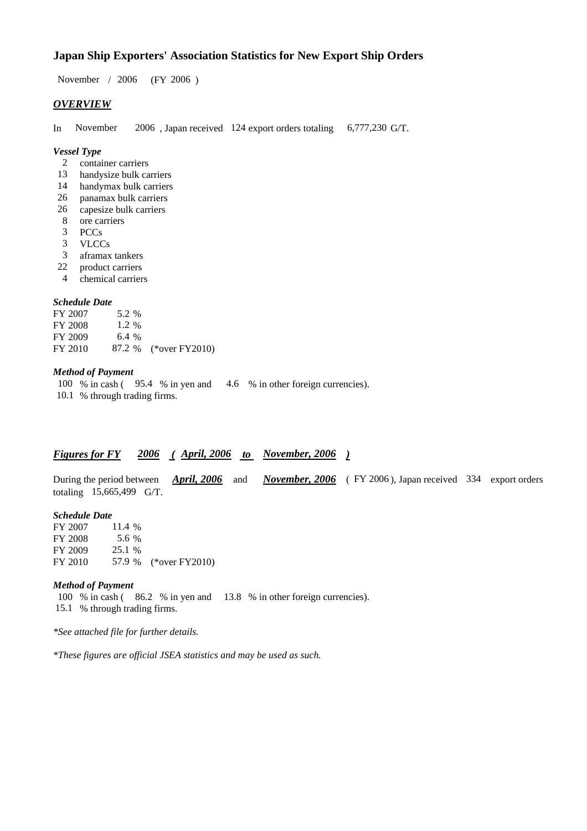# **Japan Ship Exporters' Association Statistics for New Export Ship Orders**

 $/ 2006$  (FY 2006) November / 2006

## *OVERVIEW*

In November 2006, Japan received 124 export orders totaling 6,777,230 G/T. 6,777,230 G/T.

#### *Vessel Type*

- container carriers 2
- 13 handysize bulk carriers
- handymax bulk carriers 14
- panamax bulk carriers 26
- capesize bulk carriers 26
- ore carriers 8
- PCCs 3
- VLCCs 3
- aframax tankers 3
- product carriers 22
- chemical carriers 4

## *Schedule Date*

FY 2007 FY 2008 FY 2009 FY 2010 87.2 % (\*over FY 2010) 6.4 % 5.2 % 1.2

#### *Method of Payment*

- 100 % in cash (95.4 % in yen and 4.6 % in other foreign currencies).
- 10.1 % through trading firms.

### *Figures for FY* 2006 (April, 2006 to November, 2006)

During the period between *April, 2006* and *November, 2006* (FY 2006), Japan received 334 export orders totaling  $15,665,499$  G/T. *April, 2006* and

#### *Schedule Date*

FY 2007 FY 2008 FY 2009 FY 2010 57.9 % (\*over FY2010) 5.6 25.1 % 57.9 11.4 %

#### *Method of Payment*

100 % in cash (86.2 % in yen and 13.8 % in other foreign currencies). 15.1 % through trading firms.

*\*See attached file for further details.*

*\*These figures are official JSEA statistics and may be used as such.*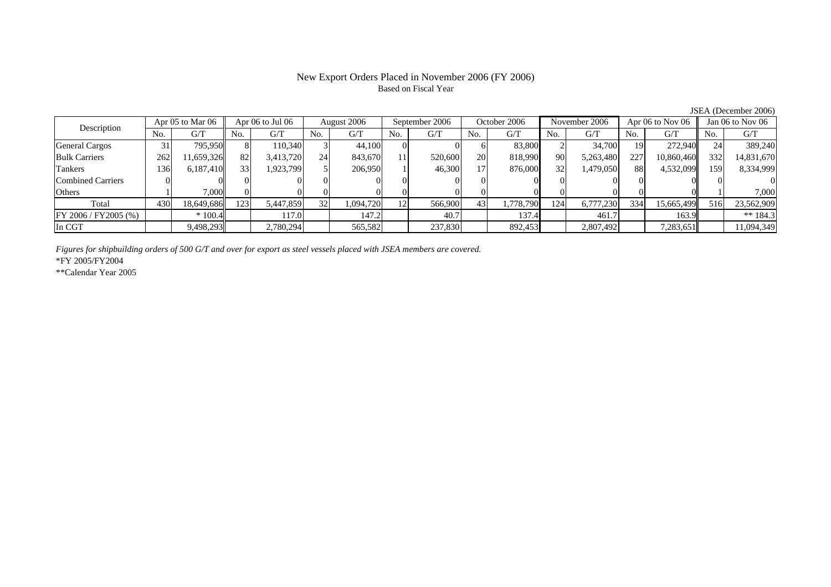# New Export Orders Placed in November 2006 (FY 2006) Based on Fiscal Year

JSEA (December 2006)

| Description              | Apr 05 to Mar 06 |            | Apr 06 to Jul 06 |           | August 2006 |           | September 2006 |         | October 2006    |           | November 2006 |           | Apr $06$ to Nov $06$ |            | Jan 06 to Nov 06 |            |
|--------------------------|------------------|------------|------------------|-----------|-------------|-----------|----------------|---------|-----------------|-----------|---------------|-----------|----------------------|------------|------------------|------------|
|                          | No.              | G/T        | No.              | G/T       | No.         | G/T       | No.            | G/T     | No.             | G/T       | No.           | G/T       | No.                  | G/T        | No.              | G/T        |
| <b>General Cargos</b>    | 31               | 795.950    | 8                | 110.340   |             | 44,100    |                |         | <sub>0</sub>    | 83,800    |               | 34,700    | 19                   | 272,940    | 24               | 389,240    |
| <b>Bulk Carriers</b>     | 262              | 1.659.326  | 82               | 3,413,720 | 24          | 843,670   |                | 520,600 | <b>20</b>       | 818,990   | 90            | 5,263,480 | 227                  | 10,860,460 | 332              | 14,831,670 |
| Tankers                  | 136              | 6,187,410  | 33 <sub>1</sub>  | 1,923,799 |             | 206,950   |                | 46,300  | 17 <sup>1</sup> | 876,000   | 32            | 1,479,050 | 88                   | 4,532,099  | 159              | 8,334,999  |
| <b>Combined Carriers</b> |                  |            |                  |           |             |           |                |         | 01              |           |               |           |                      |            |                  |            |
| Others                   |                  | 7,000      |                  |           |             |           |                |         |                 |           |               |           |                      |            |                  | 7,000      |
| Total                    | 430              | 18,649,686 | 123              | 5,447,859 | 32          | 1,094,720 | 12             | 566,900 | 43              | 1,778,790 | 124           | 6,777,230 | 334                  | 15,665,499 | 516              | 23,562,909 |
| $FY 2006 / FY 2005$ (%)  |                  | $*100.4$   |                  | 117.0     |             | 147.2     |                | 40.7    |                 | 137.4     |               | 461.7     |                      | 163.9      |                  | ** $184.3$ |
| In CGT                   |                  | 9,498,293  |                  | 2,780,294 |             | 565,582   |                | 237,830 |                 | 892,453   |               | 2,807,492 |                      | 7,283,651  |                  | 11,094,349 |

*Figures for shipbuilding orders of 500 G/T and over for export as steel vessels placed with JSEA members are covered.*

\*FY 2005/FY2004

\*\*Calendar Year 2005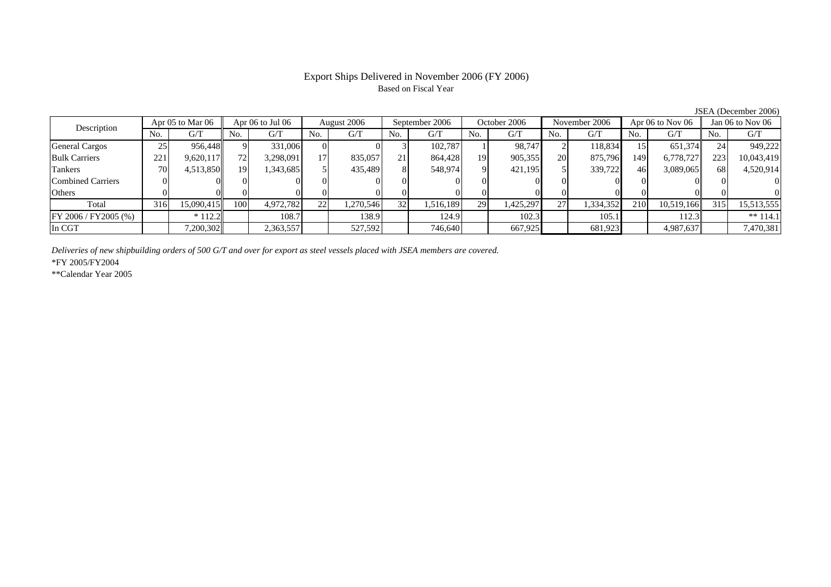# Export Ships Delivered in November 2006 (FY 2006) Based on Fiscal Year

JSEA (December 2006)

| Description              | Apr 05 to Mar 06 |            | Apr 06 to Jul 06 |           | August 2006 |         | September 2006  |           | October 2006 |           | November 2006  |           | Apr $06$ to Nov $06$ |            | Jan $06$ to Nov $06$ |            |
|--------------------------|------------------|------------|------------------|-----------|-------------|---------|-----------------|-----------|--------------|-----------|----------------|-----------|----------------------|------------|----------------------|------------|
|                          | No.              | G/T        | No.              | G/T       | No.         | G/T     | No.             | G/T       | No.          | G/T       | N <sub>O</sub> | G/T       | No.                  | G/T        | No.                  | G/T        |
| <b>General Cargos</b>    | 25               | 956.448    | Q.               | 331,006   |             |         |                 | 102.787   |              | 98.747    |                | 118,834   |                      | 651,374    | 24                   | 949,222    |
| <b>Bulk Carriers</b>     | 221              | 9,620,117  | <b>72</b>        | 3,298,091 | 17          | 835,057 | $\gamma$ 1      | 864,428   | 19           | 905,355   | 20             | 875,796   | 149                  | 6.778.727  | 223                  | 10,043,419 |
| Tankers                  | 70               | 4,513,850  | 19               | 343,685   |             | 435,489 |                 | 548,974   | 9            | 421,195   |                | 339,722   | 46                   | 3,089,065  | 68                   | 4,520,914  |
| <b>Combined Carriers</b> |                  |            | $\Omega$         |           |             |         |                 |           |              |           |                |           |                      |            |                      |            |
| Others                   |                  |            |                  |           |             |         |                 |           |              |           |                |           |                      |            |                      |            |
| Total                    | 316              | 15,090,415 | 100              | 4,972,782 | 22          | 270,546 | 32 <sup>1</sup> | 1,516,189 | 29           | 1,425,297 | 27             | 1,334,352 | 210                  | 10.519.166 | 315                  | 15,513,555 |
| FY 2006 / FY 2005 (%)    |                  | $*112.2$   |                  | 108.7     |             | 138.9   |                 | 124.9     |              | 102.3     |                | 105.1     |                      | 112.3      |                      | ** $114.1$ |
| In CGT                   |                  | 7,200,302  |                  | 2,363,557 |             | 527,592 |                 | 746,640   |              | 667,925   |                | 681,923   |                      | 4,987,637  |                      | 7,470,381  |

*Deliveries of new shipbuilding orders of 500 G/T and over for export as steel vessels placed with JSEA members are covered.*

\*FY 2005/FY2004

\*\*Calendar Year 2005